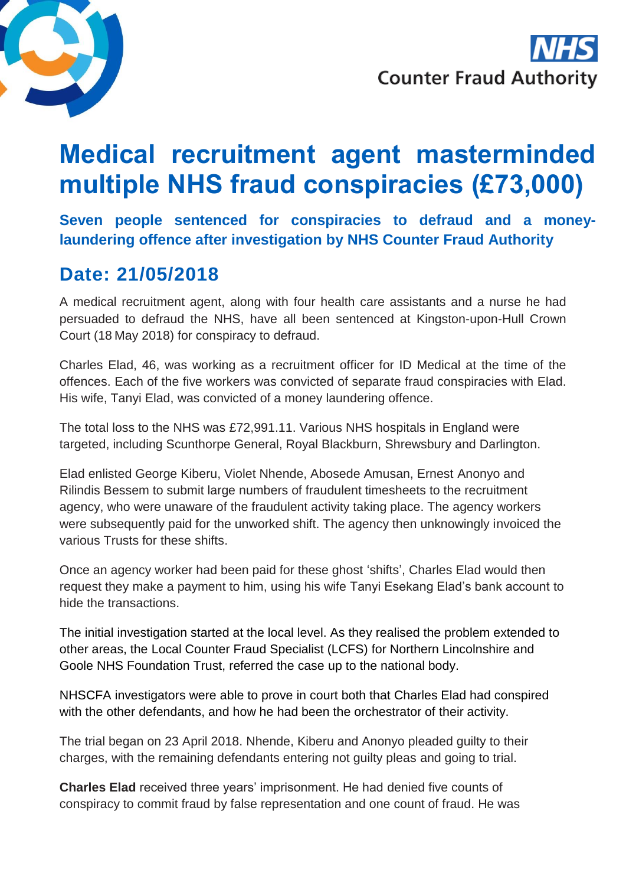

**Counter Fraud Authority** 

# **Medical recruitment agent masterminded multiple NHS fraud conspiracies (£73,000)**

**Seven people sentenced for conspiracies to defraud and a moneylaundering offence after investigation by NHS Counter Fraud Authority**

### **Date: 21/05/2018**

A medical recruitment agent, along with four health care assistants and a nurse he had persuaded to defraud the NHS, have all been sentenced at Kingston-upon-Hull Crown Court (18 May 2018) for conspiracy to defraud.

Charles Elad, 46, was working as a recruitment officer for ID Medical at the time of the offences. Each of the five workers was convicted of separate fraud conspiracies with Elad. His wife, Tanyi Elad, was convicted of a money laundering offence.

The total loss to the NHS was £72,991.11. Various NHS hospitals in England were targeted, including Scunthorpe General, Royal Blackburn, Shrewsbury and Darlington.

Elad enlisted George Kiberu, Violet Nhende, Abosede Amusan, Ernest Anonyo and Rilindis Bessem to submit large numbers of fraudulent timesheets to the recruitment agency, who were unaware of the fraudulent activity taking place. The agency workers were subsequently paid for the unworked shift. The agency then unknowingly invoiced the various Trusts for these shifts.

Once an agency worker had been paid for these ghost 'shifts', Charles Elad would then request they make a payment to him, using his wife Tanyi Esekang Elad's bank account to hide the transactions.

The initial investigation started at the local level. As they realised the problem extended to other areas, the Local Counter Fraud Specialist (LCFS) for Northern Lincolnshire and Goole NHS Foundation Trust, referred the case up to the national body.

NHSCFA investigators were able to prove in court both that Charles Elad had conspired with the other defendants, and how he had been the orchestrator of their activity.

The trial began on 23 April 2018. Nhende, Kiberu and Anonyo pleaded guilty to their charges, with the remaining defendants entering not guilty pleas and going to trial.

**Charles Elad** received three years' imprisonment. He had denied five counts of conspiracy to commit fraud by false representation and one count of fraud. He was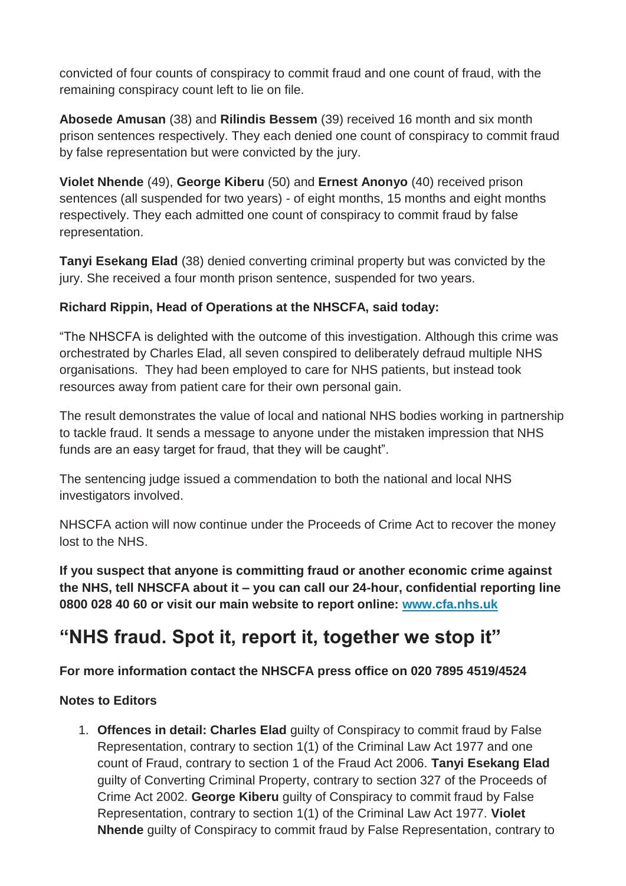convicted of four counts of conspiracy to commit fraud and one count of fraud, with the remaining conspiracy count left to lie on file.

**Abosede Amusan** (38) and **Rilindis Bessem** (39) received 16 month and six month prison sentences respectively. They each denied one count of conspiracy to commit fraud by false representation but were convicted by the jury.

**Violet Nhende** (49), **George Kiberu** (50) and **Ernest Anonyo** (40) received prison sentences (all suspended for two years) - of eight months, 15 months and eight months respectively. They each admitted one count of conspiracy to commit fraud by false representation.

**Tanyi Esekang Elad** (38) denied converting criminal property but was convicted by the jury. She received a four month prison sentence, suspended for two years.

#### **Richard Rippin, Head of Operations at the NHSCFA, said today:**

"The NHSCFA is delighted with the outcome of this investigation. Although this crime was orchestrated by Charles Elad, all seven conspired to deliberately defraud multiple NHS organisations. They had been employed to care for NHS patients, but instead took resources away from patient care for their own personal gain.

The result demonstrates the value of local and national NHS bodies working in partnership to tackle fraud. It sends a message to anyone under the mistaken impression that NHS funds are an easy target for fraud, that they will be caught".

The sentencing judge issued a commendation to both the national and local NHS investigators involved.

NHSCFA action will now continue under the Proceeds of Crime Act to recover the money lost to the NHS.

**If you suspect that anyone is committing fraud or another economic crime against the NHS, tell NHSCFA about it – you can call our 24-hour, confidential reporting line 0800 028 40 60 or visit our main website to report online: [www.cfa.nhs.uk](https://www.reportnhsfraud.nhs.uk/)**

## **"NHS fraud. Spot it, report it, together we stop it"**

### **For more information contact the NHSCFA press office on 020 7895 4519/4524**

#### **Notes to Editors**

1. **Offences in detail: Charles Elad** guilty of Conspiracy to commit fraud by False Representation, contrary to section 1(1) of the Criminal Law Act 1977 and one count of Fraud, contrary to section 1 of the Fraud Act 2006. **Tanyi Esekang Elad** guilty of Converting Criminal Property, contrary to section 327 of the Proceeds of Crime Act 2002. **George Kiberu** guilty of Conspiracy to commit fraud by False Representation, contrary to section 1(1) of the Criminal Law Act 1977. **Violet Nhende** guilty of Conspiracy to commit fraud by False Representation, contrary to